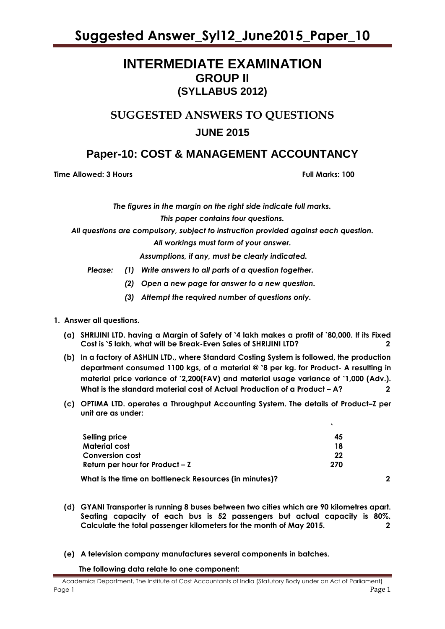# **INTERMEDIATE EXAMINATION GROUP II (SYLLABUS 2012)**

# **SUGGESTED ANSWERS TO QUESTIONS JUNE 2015**

# **Paper-10: COST & MANAGEMENT ACCOUNTANCY**

**Time Allowed: 3 Hours Full Marks: 100** 

*The figures in the margin on the right side indicate full marks.*

*This paper contains four questions.*

*All questions are compulsory, subject to instruction provided against each question.*

*All workings must form of your answer.*

*Assumptions, if any, must be clearly indicated.*

- *Please: (1) Write answers to all parts of a question together.*
	- *(2) Open a new page for answer to a new question.*
	- *(3) Attempt the required number of questions only.*

#### **1. Answer all questions.**

- **(a) SHRIJINI LTD. having a Margin of Safety of** `**4 lakh makes a profit of** `**80,000. If its Fixed Cost is** `**5 lakh, what will be Break-Even Sales of SHRIJINI LTD? 2**
- **(b) In a factory of ASHLIN LTD., where Standard Costing System is followed, the production department consumed 1100 kgs, of a material @** `**8 per kg. for Product- A resulting in material price variance of** `**2,200(FAV) and material usage variance of** `**1,000 (Adv.). What is the standard material cost of Actual Production of a Product – A?** 2
- **(c) OPTIMA LTD. operates a Throughput Accounting System. The details of Product–Z per unit are as under:**

| Selling price                                          | 45  |   |
|--------------------------------------------------------|-----|---|
| Material cost                                          | 18  |   |
| <b>Conversion cost</b>                                 | 22  |   |
| Return per hour for Product $-7$                       | 270 |   |
| What is the time on bottleneck Resources (in minutes)? |     | 2 |

- **(d) GYANI Transporter is running 8 buses between two cities which are 90 kilometres apart. Seating capacity of each bus is 52 passengers but actual capacity is 80%. Calculate the total passenger kilometers for the month of May 2015. 2**
- **(e) A television company manufactures several components in batches.**

 **The following data relate to one component:**

Academics Department, The Institute of Cost Accountants of India (Statutory Body under an Act of Parliament) Page 1 Page 1 Page 1 Page 1 Page 1 Page 1 Page 1 Page 1 Page 1 Page 1 Page 1 Page 1 Page 1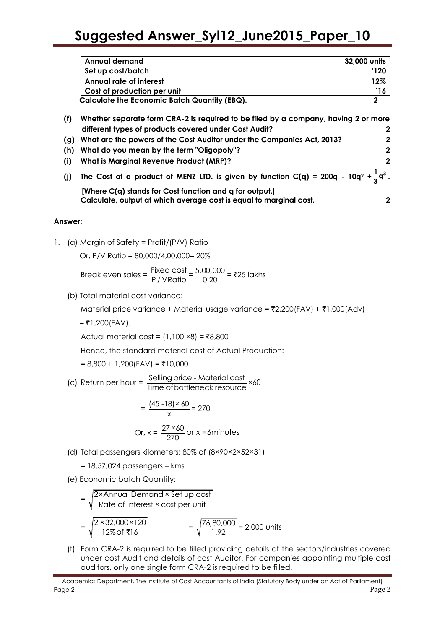|     | <b>Annual demand</b>                                                                                                    | 32,000 units |
|-----|-------------------------------------------------------------------------------------------------------------------------|--------------|
|     | Set up cost/batch                                                                                                       | `120         |
|     | <b>Annual rate of interest</b>                                                                                          | 12%          |
|     | Cost of production per unit                                                                                             | $\cdot$ 16   |
|     | <b>Calculate the Economic Batch Quantity (EBQ).</b>                                                                     | $\mathbf{2}$ |
| (f) | Whether separate form CRA-2 is required to be filed by a company, having 2 or more                                      |              |
|     | different types of products covered under Cost Audit?                                                                   | $\mathbf 2$  |
| (g) | What are the powers of the Cost Auditor under the Companies Act, 2013?                                                  | $\mathbf{2}$ |
| (h) | What do you mean by the term "Oligopoly"?                                                                               | $\mathbf 2$  |
| (i) | What is Marginal Revenue Product (MRP)?                                                                                 | $\mathbf{2}$ |
| (i) | The Cost of a product of MENZ LTD. is given by function C(q) = 200q - 10q <sup>2</sup> + $\frac{1}{2}$ q <sup>3</sup> . |              |
|     | [Where C(q) stands for Cost function and q for output.]                                                                 |              |
|     | Calculate, output at which average cost is equal to marginal cost.                                                      |              |

#### **Answer:**

1. (a) Margin of Safety = Profit/(P/V) Ratio

Or, P/V Ratio = 80,000/4,00,000= 20%

Break even sales =  $\frac{\text{Fixed cost}}{\text{P/VRatio}} = \frac{5,00,000}{0.20} = ₹25$  lakhs

(b) Total material cost variance:

Material price variance + Material usage variance =  $\overline{2}2,200$ (FAV) +  $\overline{2}1,000$ (Adv)

 $=$  ₹1,200(FAV).

Actual material cost =  $(1,100 \times 8) = ₹8,800$ 

Hence, the standard material cost of Actual Production:

 $= 8,800 + 1,200$ (FAV) = ₹10,000

(c) Return per hour = Selling price - Material cost<br>Time ofbottleneck resource

$$
= \frac{(45 - 18) \times 60}{x} = 270
$$
  
Or, x =  $\frac{27 \times 60}{270}$  or x = 6 minutes

(d) Total passengers kilometers: 80% of (8×90×2×52×31)

= 18,57,024 passengers – kms

(e) Economic batch Quantity:

$$
= \sqrt{\frac{2 \times \text{Annual Demand} \times \text{Set up cost}}{\text{Rate of interest} \times \text{cost per unit}}}
$$
\n
$$
= \sqrt{\frac{2 \times 32,000 \times 120}{12\% \text{ of } \overline{5} \cdot 16}} = \sqrt{\frac{76,80,000}{1.92}} = 2,000 \text{ units}
$$

(f) Form CRA-2 is required to be filled providing details of the sectors/industries covered under cost Audit and details of cost Auditor. For companies appointing multiple cost auditors, only one single form CRA-2 is required to be filled.

Academics Department, The Institute of Cost Accountants of India (Statutory Body under an Act of Parliament) Page 2 Page 2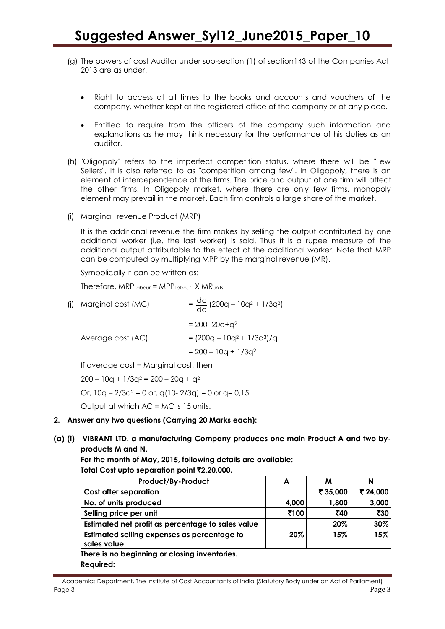- (g) The powers of cost Auditor under sub-section (1) of section143 of the Companies Act, 2013 are as under.
	- Right to access at all times to the books and accounts and vouchers of the company, whether kept at the registered office of the company or at any place.
	- Entitled to require from the officers of the company such information and explanations as he may think necessary for the performance of his duties as an auditor.
- (h) "Oligopoly" refers to the imperfect competition status, where there will be "Few Sellers". It is also referred to as "competition among few". In Oligopoly, there is an element of interdependence of the firms. The price and output of one firm will affect the other firms. In Oligopoly market, where there are only few firms, monopoly element may prevail in the market. Each firm controls a large share of the market.
- (i) Marginal revenue Product (MRP)

It is the additional revenue the firm makes by selling the output contributed by one additional worker (i.e. the last worker) is sold. Thus it is a rupee measure of the additional output attributable to the effect of the additional worker. Note that MRP can be computed by multiplying MPP by the marginal revenue (MR).

Symbolically it can be written as:-

Therefore, MRPLabour = MPPLabour X MRunits

| (j) Marginal cost (MC) | $=\frac{dc}{dq}$ (200q – 10q <sup>2</sup> + 1/3q <sup>3</sup> ) |
|------------------------|-----------------------------------------------------------------|
|                        | $= 200 - 20q + q^2$                                             |
| Average cost (AC)      | $= (200q - 10q^{2} + 1/3q^{3})/q$                               |
|                        | $= 200 - 10q + 1/3q^{2}$                                        |
|                        |                                                                 |

If average cost = Marginal cost, then

 $200 - 10q + 1/3q^2 = 200 - 20q + q^2$ 

Or,  $10q - 2/3q^2 = 0$  or,  $q(10-2/3q) = 0$  or  $q = 0.15$ 

Output at which AC = MC is 15 units.

#### **2. Answer any two questions (Carrying 20 Marks each):**

**(a) (i) VIBRANT LTD. a manufacturing Company produces one main Product A and two byproducts M and N.**

**For the month of May, 2015, following details are available: Total Cost upto separation point** `**2,20,000.**

| Product/By-Product                                         | A     | м        | N        |
|------------------------------------------------------------|-------|----------|----------|
| <b>Cost after separation</b>                               |       | ₹ 35,000 | ₹ 24,000 |
| No. of units produced                                      | 4,000 | 1,800    | 3,000    |
| Selling price per unit                                     | ₹100  | ₹40      | ₹30      |
| Estimated net profit as percentage to sales value          |       | 20%      | 30%      |
| Estimated selling expenses as percentage to<br>sales value | 20%   | 15%      | 15%      |
| There is no beginning or closing inventories.              |       |          |          |
| Required:                                                  |       |          |          |

Academics Department, The Institute of Cost Accountants of India (Statutory Body under an Act of Parliament) Page 3 Page 2 Page 2 Page 2 Page 2 Page 2 Page 2 Page 2 Page 2 Page 2 Page 2 Page 2 Page 2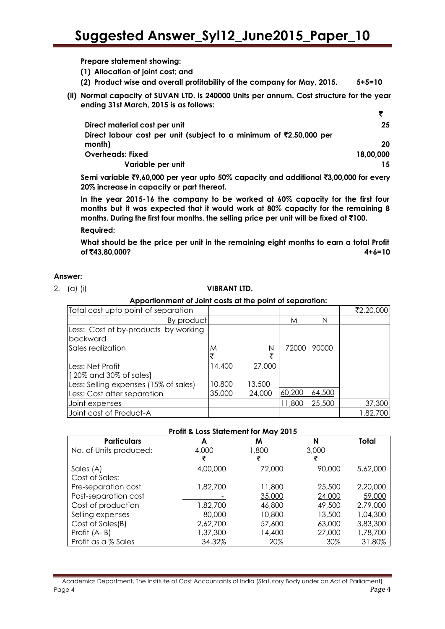**Prepare statement showing:**

**(1) Allocation of joint cost; and**

- **(2) Product wise and overall profitability of the company for May, 2015. 5+5=10**
- **(ii) Normal capacity of SUVAN LTD. is 240000 Units per annum. Cost structure for the year ending 31st March, 2015 is as follows:**

| Direct material cost per unit                                                   | 25        |
|---------------------------------------------------------------------------------|-----------|
| Direct labour cost per unit (subject to a minimum of $\bar{\zeta}$ 2,50,000 per |           |
| month)                                                                          | 20        |
| <b>Overheads: Fixed</b>                                                         | 18,00,000 |
| Variable per unit                                                               | 15.       |

**Semi variable** `**9,60,000 per year upto 50% capacity and additional** `**3,00,000 for every 20% increase in capacity or part thereof.**

**In the year 2015-16 the company to be worked at 60% capacity for the first four months but it was expected that it would work at 80% capacity for the remaining 8 months. During the first four months, the selling price per unit will be fixed at** `**100.**

**Required:**

**What should be the price per unit in the remaining eight months to earn a total Profit of ₹43,80,000?** 4+6=10

#### **Answer:**

#### 2. (a) (i) **VIBRANT LTD.**

**Apportionment of Joint costs at the point of separation:**

| Total cost upto point of separation   |        |        |        |        | ₹2,20,000 |
|---------------------------------------|--------|--------|--------|--------|-----------|
| By product                            |        |        | M      | N      |           |
| Less: Cost of by-products by working  |        |        |        |        |           |
| <b>Ibackward</b><br>Sales realization |        | Ν      | 72000  | 90000  |           |
|                                       | M      | ₹      |        |        |           |
| Less: Net Profit                      | 14,400 | 27,000 |        |        |           |
| [20% and 30% of sales]                |        |        |        |        |           |
| Less: Selling expenses (15% of sales) | 10,800 | 13,500 |        |        |           |
| Less: Cost after separation           | 35,000 | 24,000 | 60,200 | 64,500 |           |
| Joint expenses                        |        |        | 11,800 | 25,500 | 37,300    |
| Joint cost of Product-A               |        |        |        |        | 1,82,700  |

#### **Profit & Loss Statement for May 2015**

| <b>Particulars</b>     | A        | M      | N      | Total    |
|------------------------|----------|--------|--------|----------|
| No. of Units produced: | 4,000    | 1,800  | 3,000  |          |
|                        | ₹        | ₹      | ₹      |          |
| Sales (A)              | 4,00,000 | 72,000 | 90,000 | 5,62,000 |
| Cost of Sales:         |          |        |        |          |
| Pre-separation cost    | 1,82,700 | 11,800 | 25,500 | 2,20,000 |
| Post-separation cost   |          | 35,000 | 24,000 | 59,000   |
| Cost of production     | 1,82,700 | 46,800 | 49,500 | 2,79,000 |
| Selling expenses       | 80,000   | 10,800 | 13,500 | 1,04,300 |
| Cost of Sales(B)       | 2,62,700 | 57,600 | 63,000 | 3,83,300 |
| Profit (A-B)           | 1,37,300 | 14,400 | 27,000 | 1,78,700 |
| Profit as a % Sales    | 34.32%   | 20%    | 30%    | 31.80%   |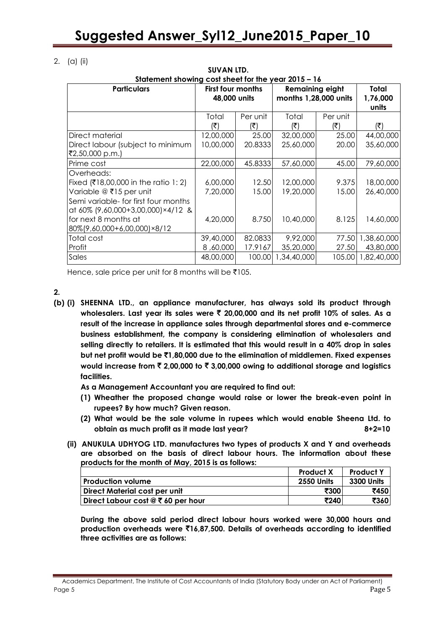**SUVAN LTD.**

2. (a) (ii)

| Statement showing cost sheet for the year 2015 - 16                                                                                                        |                        |                                   |                        |                                                 |                          |  |  |  |  |                            |
|------------------------------------------------------------------------------------------------------------------------------------------------------------|------------------------|-----------------------------------|------------------------|-------------------------------------------------|--------------------------|--|--|--|--|----------------------------|
| <b>Particulars</b>                                                                                                                                         |                        | First four months<br>48,000 units |                        | <b>Remaining eight</b><br>months 1,28,000 units |                          |  |  |  |  | Total<br>1,76,000<br>units |
|                                                                                                                                                            | Total<br>(₹)           | Per unit<br>(₹)                   | Total<br>(₹)           | Per unit<br>(₹)                                 | (₹)                      |  |  |  |  |                            |
| Direct material<br>Direct labour (subject to minimum<br>₹2,50,000 p.m.)                                                                                    | 12,00,000<br>10,00,000 | 25.00<br>20.8333                  | 32,00,000<br>25,60,000 | 25.00<br>20.00                                  | 44,00,000<br>35,60,000   |  |  |  |  |                            |
| Prime cost                                                                                                                                                 | 22,00,000              | 45.8333                           | 57,60,000              | 45.00                                           | 79,60,000                |  |  |  |  |                            |
| Overheads:<br>Fixed (₹18,00,000 in the ratio 1: 2)<br>Variable @ ₹15 per unit<br>Semi variable- for first four months<br>at 60% (9,60,000+3,00,000)×4/12 & | 6,00,000<br>7,20,000   | 12.50<br>15.00                    | 12,00,000<br>19,20,000 | 9.375<br>15.00                                  | 18,00,000<br>26,40,000   |  |  |  |  |                            |
| for next 8 months at<br>80%(9,60,000+6,00,000)×8/12                                                                                                        | 4,20,000               | 8.750                             | 10,40,000              | 8.125                                           | 14,60,000                |  |  |  |  |                            |
| Total cost<br>Profit                                                                                                                                       | 39,40,000<br>8,60,000  | 82.0833<br>17.9167                | 9,92,000<br>35,20,000  | 77.50<br>27.50                                  | 1,38,60,000<br>43,80,000 |  |  |  |  |                            |
| Sales                                                                                                                                                      | 48,00,000              | 100.00                            | 1,34,40,000            | 105.00                                          | 1,82,40,000              |  |  |  |  |                            |

Hence, sale price per unit for 8 months will be  $\bar{\tau}$ 105.

 $\mathbf{2}$ 

**(b) (i) SHEENNA LTD., an appliance manufacturer, has always sold its product through wholesalers. Last year its sales were** ` **20,00,000 and its net profit 10% of sales. As a result of the increase in appliance sales through departmental stores and e-commerce business establishment, the company is considering elimination of wholesalers and selling directly to retailers. It is estimated that this would result in a 40% drop in sales but net profit would be** `**1,80,000 due to the elimination of middlemen. Fixed expenses would increase from** ` **2,00,000 to** ` **3,00,000 owing to additional storage and logistics facilities.**

**As a Management Accountant you are required to find out:**

- **(1) Wheather the proposed change would raise or lower the break-even point in rupees? By how much? Given reason.**
- **(2) What would be the sale volume in rupees which would enable Sheena Ltd. to obtain as much profit as it made last year? 8+2=10**
- **(ii) ANUKULA UDHYOG LTD. manufactures two types of products X and Y and overheads are absorbed on the basis of direct labour hours. The information about these products for the month of May, 2015 is as follows:**

|                                    | <b>Product X</b>  | <b>Product Y</b>  |
|------------------------------------|-------------------|-------------------|
| <b>Production volume</b>           | <b>2550 Units</b> | <b>3300 Units</b> |
| Direct Material cost per unit      | ₹300              | ₹450              |
| Direct Labour cost @ ₹ 60 per hour | ₹240              | ₹360              |

**During the above said period direct labour hours worked were 30,000 hours and production overheads were** `**16,87,500. Details of overheads according to identified three activities are as follows:**

Academics Department, The Institute of Cost Accountants of India (Statutory Body under an Act of Parliament) Page 5 Page 5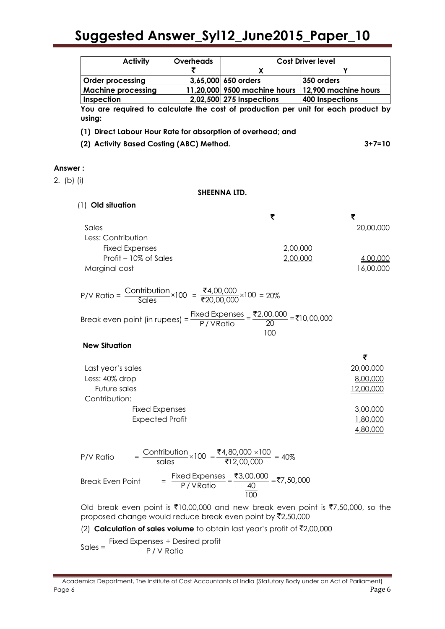|            | <b>Activity</b>                                                                                                                  | Overheads |                                                                                                                                                        | <b>Cost Driver level</b>                                                                                    |
|------------|----------------------------------------------------------------------------------------------------------------------------------|-----------|--------------------------------------------------------------------------------------------------------------------------------------------------------|-------------------------------------------------------------------------------------------------------------|
|            |                                                                                                                                  |           | X                                                                                                                                                      | Y                                                                                                           |
|            | <b>Order processing</b>                                                                                                          |           | 3,65,000 650 orders                                                                                                                                    | 350 orders                                                                                                  |
|            | <b>Machine processing</b>                                                                                                        |           |                                                                                                                                                        | 11,20,000 9500 machine hours   12,900 machine hours                                                         |
|            | Inspection                                                                                                                       |           | 2,02,500 275 Inspections                                                                                                                               | <b>400 Inspections</b>                                                                                      |
| using:     | (2) Activity Based Costing (ABC) Method.                                                                                         |           | (1) Direct Labour Hour Rate for absorption of overhead; and                                                                                            | You are required to calculate the cost of production per unit for each product by<br>$3 + 7 = 10$           |
| Answer:    |                                                                                                                                  |           |                                                                                                                                                        |                                                                                                             |
| 2. (b) (i) |                                                                                                                                  |           |                                                                                                                                                        |                                                                                                             |
|            |                                                                                                                                  |           | SHEENNA LTD.                                                                                                                                           |                                                                                                             |
|            | (1) Old situation                                                                                                                |           |                                                                                                                                                        |                                                                                                             |
|            |                                                                                                                                  |           | ₹                                                                                                                                                      | ₹                                                                                                           |
| Sales      |                                                                                                                                  |           |                                                                                                                                                        | 20,00,000                                                                                                   |
|            | Less: Contribution                                                                                                               |           |                                                                                                                                                        |                                                                                                             |
|            | <b>Fixed Expenses</b>                                                                                                            |           | 2,00,000                                                                                                                                               |                                                                                                             |
|            | Profit - 10% of Sales                                                                                                            |           | 2,00,000                                                                                                                                               | 4,00,000                                                                                                    |
|            | Marginal cost                                                                                                                    |           |                                                                                                                                                        | 16,00,000                                                                                                   |
|            |                                                                                                                                  |           |                                                                                                                                                        |                                                                                                             |
|            | P/V Ratio = $\frac{\text{Contribution}}{\text{Sales}} \times 100 = \frac{\text{₹4,00,000}}{\text{₹20,00,000}} \times 100 = 20\%$ |           | Break even point (in rupees) = $\frac{\text{Fixed Expenses}}{\text{P}/\text{VRatio}}$ = $\frac{\text{F2,00,000}}{20}$ = ₹10,00,000<br>$\overline{100}$ |                                                                                                             |
|            | <b>New Situation</b>                                                                                                             |           |                                                                                                                                                        |                                                                                                             |
|            |                                                                                                                                  |           |                                                                                                                                                        | ₹                                                                                                           |
|            | Last year's sales                                                                                                                |           |                                                                                                                                                        | 20,00,000                                                                                                   |
|            | Less: 40% drop                                                                                                                   |           |                                                                                                                                                        | 8,00,000                                                                                                    |
|            | Future sales                                                                                                                     |           |                                                                                                                                                        | 12,00,000                                                                                                   |
|            | Contribution:                                                                                                                    |           |                                                                                                                                                        |                                                                                                             |
|            | <b>Fixed Expenses</b><br><b>Expected Profit</b>                                                                                  |           |                                                                                                                                                        | 3,00,000<br>1,80,000<br>4,80,000                                                                            |
| P/V Ratio  |                                                                                                                                  |           |                                                                                                                                                        |                                                                                                             |
|            | <b>Break Even Point</b>                                                                                                          |           | $= \frac{\text{Fixed Expenses}}{\text{P/VRatio}} = \frac{\text{₹3,00,000}}{\frac{40}{100}} = \text{₹7,50,000}$                                         |                                                                                                             |
|            |                                                                                                                                  |           | proposed change would reduce break even point by ₹2,50,000                                                                                             | Old break even point is $\overline{5}10,00,000$ and new break even point is $\overline{57},50,000$ , so the |
|            |                                                                                                                                  |           | (2) Calculation of sales volume to obtain last year's profit of $\bar{\tau}$ 2,00,000                                                                  |                                                                                                             |
| $Sales =$  | Fixed Expenses + Desired profit                                                                                                  | P/V Ratio |                                                                                                                                                        |                                                                                                             |

Academics Department, The Institute of Cost Accountants of India (Statutory Body under an Act of Parliament) Page 6 Page 6 Page 1 Page 1 Page 1 Page 1 Page 1 Page 1 Page 1 Page 1 Page 1 Page 1 Page 1 Page 1 Page 1 Page 1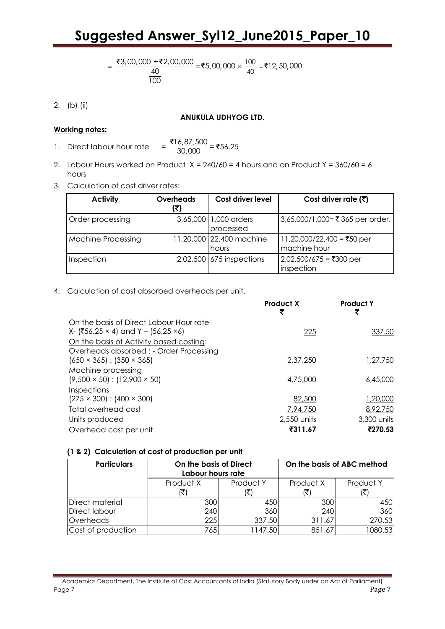$$
= \frac{\overline{33,00,000} + \overline{32,00,000}}{\frac{40}{100}} = \overline{35,00,000} \times \frac{100}{40} = \overline{312,50,000}
$$

2. (b) (ii)

#### **ANUKULA UDHYOG LTD.**

#### **Working notes:**

- 1. Direct labour hour rate ,87, , 16,87,500 30,000 <u>₹16,87,500</u><br>20.000 = ₹56.25
- 2. Labour Hours worked on Product  $X = 240/60 = 4$  hours and on Product  $Y = 360/60 = 6$ hours
- 3. Calculation of cost driver rates:

| <b>Activity</b>           | <b>Overheads</b><br>₹) | Cost driver level                  | Cost driver rate $(5)$                     |
|---------------------------|------------------------|------------------------------------|--------------------------------------------|
| Order processing          |                        | 3,65,000 1,000 orders<br>processed | 3,65,000/1,000=₹365 per order.             |
| <b>Machine Processing</b> |                        | 11,20,000 22,400 machine<br>hours  | 11,20,000/22,400 = ₹50 per<br>machine hour |
| Inspection                |                        | 2,02,500 675 inspections           | 2,02,500/675 = ₹300 per<br>inspection      |

4. Calculation of cost absorbed overheads per unit.

|                                                                                               | <b>Product X</b> | <b>Product Y</b><br>₹ |
|-----------------------------------------------------------------------------------------------|------------------|-----------------------|
| On the basis of Direct Labour Hour rate                                                       |                  |                       |
| $X - (756.25 \times 4)$ and $Y - (56.25 \times 6)$<br>On the basis of Activity based costing: | 225              | 337.50                |
| Overheads absorbed : - Order Processing<br>$(650 \times 365)$ : $(350 \times 365)$            | 2.37.250         | 1,27,750              |
| Machine processing<br>$(9,500 \times 50)$ : (12,900 $\times$ 50)                              | 4,75,000         | 6,45,000              |
| Inspections<br>$(275 \times 300)$ : $(400 \times 300)$                                        | 82,500           | 1,20,000              |
| Total overhead cost                                                                           | 7,94,750         | 8,92,750              |
| Units produced                                                                                | 2,550 units      | 3,300 units           |
| Overhead cost per unit                                                                        | ₹311.67          | ₹270.53               |

#### **(1 & 2) Calculation of cost of production per unit**

| <b>Particulars</b> | On the basis of Direct<br>Labour hours rate |           | On the basis of ABC method |           |
|--------------------|---------------------------------------------|-----------|----------------------------|-----------|
|                    | Product X                                   | Product Y | Product X                  | Product Y |
|                    |                                             |           |                            |           |
| Direct material    | 300                                         | 450       | 300                        | 450       |
| Direct labour      | 240                                         | 360       | 240                        | 360       |
| Overheads          | 225                                         | 337.50    | 311.67                     | 270.53    |
| Cost of production | 765                                         | 1147.50   | 851.67                     | 1080.53   |

Academics Department, The Institute of Cost Accountants of India (Statutory Body under an Act of Parliament) Page 7 Page 7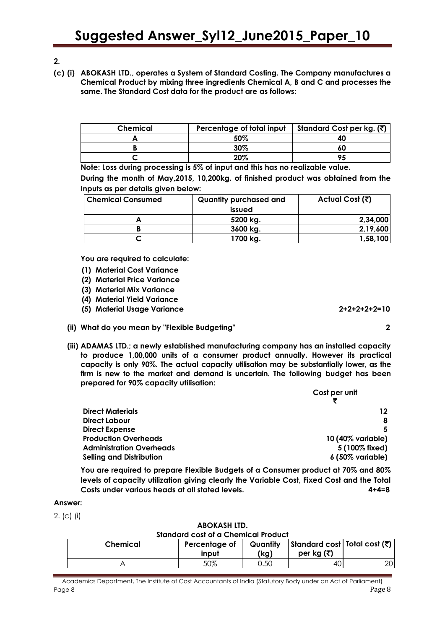- **2.**
- **(c) (i) ABOKASH LTD., operates a System of Standard Costing. The Company manufactures a Chemical Product by mixing three ingredients Chemical A, B and C and processes the same. The Standard Cost data for the product are as follows:**

| Chemical | Percentage of total input | Standard Cost per kg. (₹) |  |
|----------|---------------------------|---------------------------|--|
|          | 50%                       | 40                        |  |
|          | 30%                       | 60                        |  |
|          | 20%                       |                           |  |

**Note: Loss during processing is 5% of input and this has no realizable value. During the month of May,2015, 10,200kg. of finished product was obtained from the Inputs as per details given below:**

| <b>Chemical Consumed</b> | Quantity purchased and<br>issued | Actual Cost (そ) |  |
|--------------------------|----------------------------------|-----------------|--|
|                          | 5200 kg.                         | 2,34,000        |  |
|                          | 3600 kg.                         | 2,19,600        |  |
|                          | 1700 kg.                         | 1,58,100        |  |

**You are required to calculate:**

- **(1) Material Cost Variance**
- **(2) Material Price Variance**
- **(3) Material Mix Variance**
- **(4) Material Yield Variance**
- **(5) Material Usage Variance 2+2+2+2+2=10**
- **(ii) What do you mean by "Flexible Budgeting" 2**
- **(iii) ADAMAS LTD.; a newly established manufacturing company has an installed capacity to produce 1,00,000 units of a consumer product annually. However its practical capacity is only 90%. The actual capacity utilisation may be substantially lower, as the firm is new to the market and demand is uncertain. The following budget has been prepared for 90% capacity utilisation:**

|                                 | Cost per unit     |  |
|---------------------------------|-------------------|--|
|                                 |                   |  |
| <b>Direct Materials</b>         | 12                |  |
| <b>Direct Labour</b>            | 8                 |  |
| <b>Direct Expense</b>           | 5                 |  |
| <b>Production Overheads</b>     | 10 (40% variable) |  |
| <b>Administration Overheads</b> | 5 (100% fixed)    |  |
| <b>Selling and Distribution</b> | 6 (50% variable)  |  |

**You are required to prepare Flexible Budgets of a Consumer product at 70% and 80% levels of capacity utilization giving clearly the Variable Cost, Fixed Cost and the Total Costs under various heads at all stated levels. 4+4=8**

#### **Answer:**

2. (c) (i)

#### **ABOKASH LTD. Standard cost of a Chemical Product**

| <u>Jiuliuulu Cosi ol u Chefficul Houger</u> |                        |                  |                                                  |  |
|---------------------------------------------|------------------------|------------------|--------------------------------------------------|--|
| Chemical                                    | Percentage of<br>input | Quantity<br>(kg) | Standard cost   Total cost (₹)  <br>per kg $(5)$ |  |
|                                             | 50%                    | J.50             | 40                                               |  |
|                                             |                        |                  |                                                  |  |

Academics Department, The Institute of Cost Accountants of India (Statutory Body under an Act of Parliament) Page 8 Page 8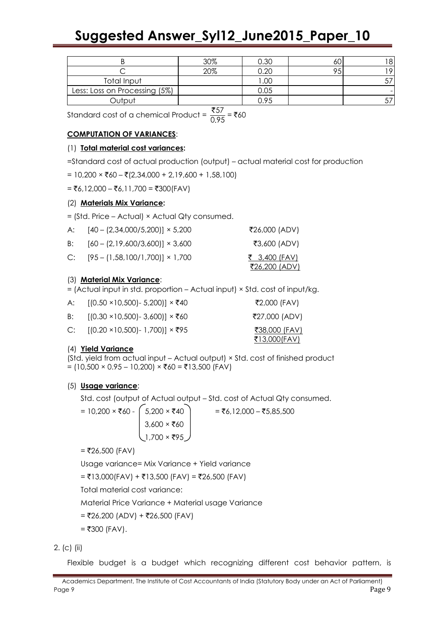|                               | 30% | 0.30 |  | 8 |
|-------------------------------|-----|------|--|---|
|                               | 20% | า.20 |  |   |
| Total Input                   |     | 0.00 |  |   |
| Less: Loss on Processing (5%) |     | 0.05 |  |   |
| Output                        |     | ).95 |  |   |
| $- - -$                       |     |      |  |   |

Standard cost of a chemical Product =  $\frac{1}{0}$ . 57 0.95 ` = `60

## **COMPUTATION OF VARIANCES**:

#### (1) **Total material cost variances:**

=Standard cost of actual production (output) – actual material cost for production

 $= 10,200 \times \text{\textdegree}$  + (2,34,000 + 2,19,600 + 1,58,100)

 $= ₹6,12,000 - ₹6,11,700 = ₹300(FAV)$ 

#### (2) **Materials Mix Variance:**

= (Std. Price – Actual) × Actual Qty consumed.

| A: | $[40 - (2,34,000/5,200)] \times 5,200$    | ₹26,000 (ADV)                                |
|----|-------------------------------------------|----------------------------------------------|
|    | B: $[60 - (2,19,600/3,600)] \times 3,600$ | ₹3,600 (ADV)                                 |
|    | C: $[95 - (1,58,100/1,700)] \times 1,700$ | <u>₹ 3,400 (FAV)</u><br><u>₹26,200 (ADV)</u> |

## (3) **Material Mix Variance**:

= (Actual input in std. proportion – Actual input) × Std. cost of input/kg.

| A: . | [(0.50 ×10,500)- 5,200)] × ₹40                  | ₹2,000 (FAV)                                  |
|------|-------------------------------------------------|-----------------------------------------------|
|      | B: $[(0.30 \times 10,500) - 3,600)] \times$ ₹60 | ₹27,000 (ADV)                                 |
|      | C: $[(0.20 \times 10,500) - 1,700)] \times$ ₹95 | <u> ₹38,000 (FAV)</u><br><u> ₹13,000(FAV)</u> |

## (4) **Yield Variance**

(Std. yield from actual input – Actual output) × Std. cost of finished product  $= (10,500 \times 0.95 - 10,200) \times$ ₹60 = ₹13,500 (FAV)

## (5) **Usage variance**:

Std. cost (output of Actual output – Std. cost of Actual Qty consumed.

= 10,200 × `60 - 5,200 × `40 = `6,12,000 – `5,85,500  $\vert 3,600 \times \overline{5}60$  $1,700 \times ₹95$ 

 $=$  ₹26,500 (FAV)

Usage variance= Mix Variance + Yield variance

 $=$  ₹13,000(FAV) + ₹13,500 (FAV) = ₹26,500 (FAV)

Total material cost variance:

Material Price Variance + Material usage Variance

$$
=
$$
 ₹26,200 (ADV) + ₹26,500 (FAV)

 $=$  ₹300 (FAV).

2. (c) (ii)

Flexible budget is a budget which recognizing different cost behavior pattern, is

Academics Department, The Institute of Cost Accountants of India (Statutory Body under an Act of Parliament) Page 9 Page 9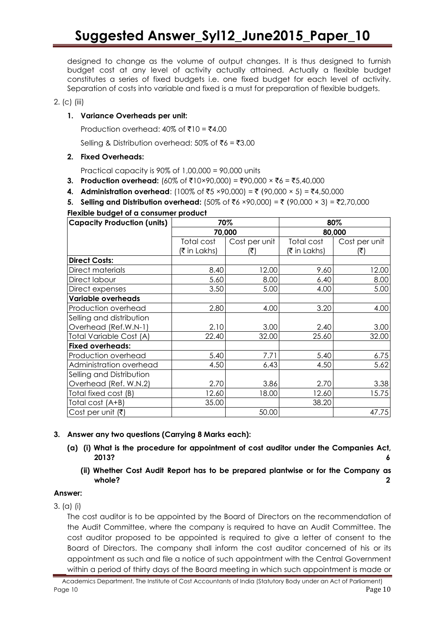designed to change as the volume of output changes. It is thus designed to furnish budget cost at any level of activity actually attained. Actually a flexible budget constitutes a series of fixed budgets i.e. one fixed budget for each level of activity. Separation of costs into variable and fixed is a must for preparation of flexible budgets.

#### 2. (c) (iii)

#### **1. Variance Overheads per unit:**

Production overhead:  $40\%$  of ₹10 = ₹4.00

Selling & Distribution overhead: 50% of  $\bar{x}6 = \bar{x}3.00$ 

#### **2. Fixed Overheads:**

Practical capacity is  $90\%$  of  $1,00,000 = 90,000$  units

- **3. Production overhead:** (60% of  $\bar{\tau}$ 10×90,000) =  $\bar{\tau}$ 90,000 ×  $\bar{\tau}$ 6 =  $\bar{\tau}$ 5,40,000
- **4. Administration overhead:** (100% of ₹5 ×90,000) = ₹ (90,000 × 5) = ₹4,50,000
- **5. Selling and Distribution overhead:** (50% of ₹6 ×90,000) = ₹ (90,000 × 3) = ₹2,70,000

#### **Flexible budget of a consumer product**

| <b>Capacity Production (units)</b> | 70%          |               | 80%          |               |
|------------------------------------|--------------|---------------|--------------|---------------|
|                                    | 70,000       |               | 80,000       |               |
|                                    | Total cost   | Cost per unit | Total cost   | Cost per unit |
|                                    | (₹ in Lakhs) | (₹)           | (₹ in Lakhs) | (₹)           |
| <b>Direct Costs:</b>               |              |               |              |               |
| Direct materials                   | 8.40         | 12.00         | 9.60         | 12.00         |
| Direct labour                      | 5.60         | 8.00          | 6.40         | 8.00          |
| Direct expenses                    | 3.50         | 5.00          | 4.00         | 5.00          |
| <b>Variable overheads</b>          |              |               |              |               |
| Production overhead                | 2.80         | 4.00          | 3.20         | 4.00          |
| Selling and distribution           |              |               |              |               |
| Overhead (Ref.W.N-1)               | 2.10         | 3.00          | 2.40         | 3.00          |
| <b>Total Variable Cost (A)</b>     | 22.40        | 32.00         | 25.60        | 32.00         |
| <b>Fixed overheads:</b>            |              |               |              |               |
| Production overhead                | 5.40         | 7.71          | 5.40         | 6.75          |
| Administration overhead            | 4.50         | 6.43          | 4.50         | 5.62          |
| Selling and Distribution           |              |               |              |               |
| Overhead (Ref. W.N.2)              | 2.70         | 3.86          | 2.70         | 3.38          |
| Total fixed cost (B)               | 12.60        | 18.00         | 12.60        | 15.75         |
| Total cost (A+B)                   | 35.00        |               | 38.20        |               |
| Cost per unit $(\bar{\tau})$       |              | 50.00         |              | 47.75         |

#### **3. Answer any two questions (Carrying 8 Marks each):**

- **(a) (i) What is the procedure for appointment of cost auditor under the Companies Act, 2013? 6**
	- **(ii) Whether Cost Audit Report has to be prepared plantwise or for the Company as whole? 2**

#### **Answer:**

3. (a) (i)

The cost auditor is to be appointed by the Board of Directors on the recommendation of the Audit Committee, where the company is required to have an Audit Committee. The cost auditor proposed to be appointed is required to give a letter of consent to the Board of Directors. The company shall inform the cost auditor concerned of his or its appointment as such and file a notice of such appointment with the Central Government within a period of thirty days of the Board meeting in which such appointment is made or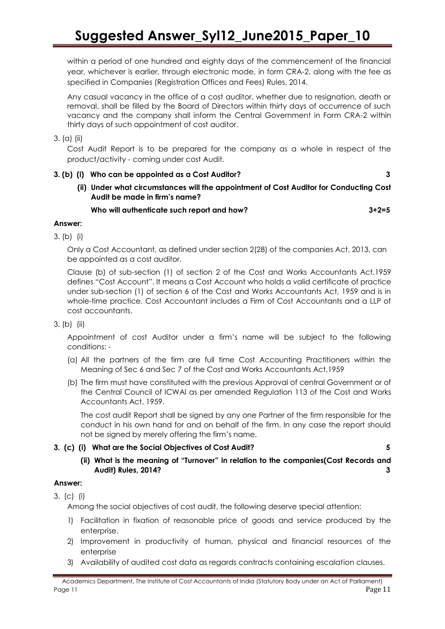within a period of one hundred and eighty days of the commencement of the financial year, whichever is earlier, through electronic mode, in form CRA-2, along with the fee as specified in Companies (Registration Offices and Fees) Rules, 2014.

Any casual vacancy in the office of a cost auditor, whether due to resignation, death or removal, shall be filled by the Board of Directors within thirty days of occurrence of such vacancy and the company shall inform the Central Government in Form CRA-2 within thirty days of such appointment of cost auditor.

#### 3. (a) (ii)

Cost Audit Report is to be prepared for the company as a whole in respect of the product/activity - coming under cost Audit.

#### **3. (b) (i) Who can be appointed as a Cost Auditor? 3**

**(ii) Under what circumstances will the appointment of Cost Auditor for Conducting Cost Audit be made in firm's name?**

#### **Who will authenticate such report and how? 3+2=5**

#### **Answer:**

3. (b) (i)

Only a Cost Accountant, as defined under section 2(28) of the companies Act, 2013, can be appointed as a cost auditor.

Clause (b) of sub-section (1) of section 2 of the Cost and Works Accountants Act.1959 defines "Cost Account". It means a Cost Account who holds a valid certificate of practice under sub-section (1) of section 6 of the Cost and Works Accountants Act, 1959 and is in whole-time practice. Cost Accountant includes a Firm of Cost Accountants and a LLP of cost accountants.

## 3. (b) (ii)

Appointment of cost Auditor under a firm's name will be subject to the following conditions: -

- (a) All the partners of the firm are full time Cost Accounting Practitioners within the Meaning of Sec 6 and Sec 7 of the Cost and Works Accountants Act,1959
- (b) The firm must have constituted with the previous Approval of central Government or of the Central Council of ICWAI as per amended Regulation 113 of the Cost and Works Accountants Act, 1959.

The cost audit Report shall be signed by any one Partner of the firm responsible for the conduct in his own hand for and on behalf of the firm. In any case the report should not be signed by merely offering the firm's name.

## **3. (c) (i) What are the Social Objectives of Cost Audit? 5**

**(ii) What is the meaning of "Turnover" in relation to the companies(Cost Records and Audit) Rules, 2014? 3**

## **Answer:**

3. (c) (i)

Among the social objectives of cost audit, the following deserve special attention:

- 1) Facilitation in fixation of reasonable price of goods and service produced by the enterprise.
- 2) Improvement in productivity of human, physical and financial resources of the enterprise
- 3) Availability of audited cost data as regards contracts containing escalation clauses.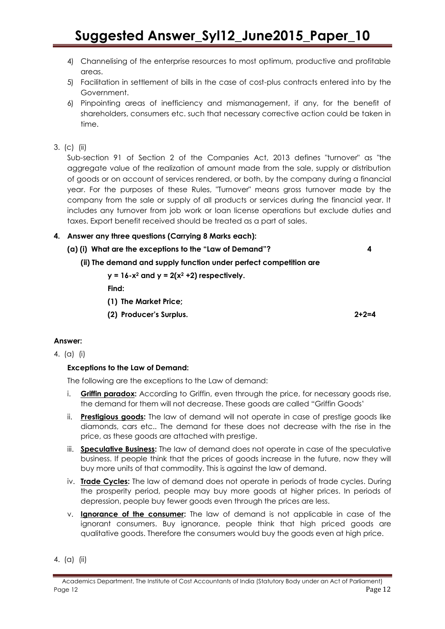- 4) Channelising of the enterprise resources to most optimum, productive and profitable areas.
- 5) Facilitation in settlement of bills in the case of cost-plus contracts entered into by the Government.
- 6) Pinpointing areas of inefficiency and mismanagement, if any, for the benefit of shareholders, consumers etc. such that necessary corrective action could be taken in time.
- 3. (c) (ii)

Sub-section 91 of Section 2 of the Companies Act, 2013 defines "turnover" as "the aggregate value of the realization of amount made from the sale, supply or distribution of goods or on account of services rendered, or both, by the company during a financial year. For the purposes of these Rules, "Turnover" means gross turnover made by the company from the sale or supply of all products or services during the financial year. It includes any turnover from job work or loan license operations but exclude duties and taxes. Export benefit received should be treated as a part of sales.

- **4. Answer any three questions (Carrying 8 Marks each):**
	- **(a) (i) What are the exceptions to the "Law of Demand"? 4**
		- **(ii) The demand and supply function under perfect competition are** 
			- $y = 16-x^2$  and  $y = 2(x^2 + 2)$  respectively.

**Find:**

- **(1) The Market Price;**
- **(2) Producer's Surplus. 2+2=4**
- **Answer:**
- 4. (a) (i)

## **Exceptions to the Law of Demand:**

The following are the exceptions to the Law of demand:

- i. **Griffin paradox:** According to Griffin, even through the price, for necessary goods rise, the demand for them will not decrease. These goods are called "Griffin Goods'
- ii. **Prestigious goods:** The law of demand will not operate in case of prestige goods like diamonds, cars etc.. The demand for these does not decrease with the rise in the price, as these goods are attached with prestige.
- iii. **Speculative Business:** The law of demand does not operate in case of the speculative business. If people think that the prices of goods increase in the future, now they will buy more units of that commodity. This is against the law of demand.
- iv. **Trade Cycles:** The law of demand does not operate in periods of trade cycles. During the prosperity period, people may buy more goods at higher prices. In periods of depression, people buy fewer goods even through the prices are less.
- v. **Ignorance of the consumer:** The law of demand is not applicable in case of the ignorant consumers. Buy ignorance, people think that high priced goods are qualitative goods. Therefore the consumers would buy the goods even at high price.
- 4. (a) (ii)

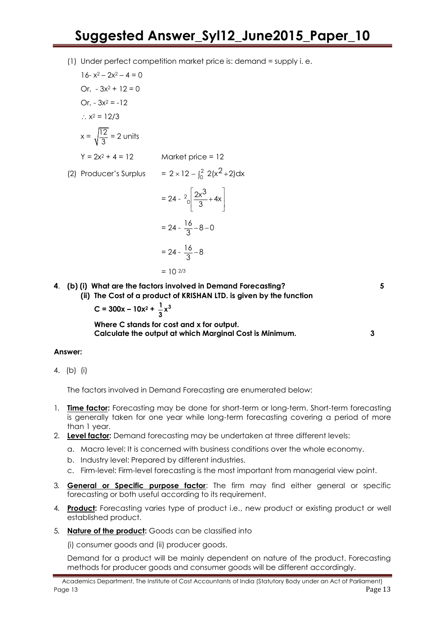(1) Under perfect competition market price is: demand = supply i. e.

16- x<sup>2</sup> - 2x<sup>2</sup> - 4 = 0  
\nOr, -3x<sup>2</sup> + 12 = 0  
\nOr, -3x<sup>2</sup> = -12  
\n  
\n  
\n  
\n
$$
x^2 = 12/3
$$
  
\n $x = \sqrt{\frac{12}{3}} = 2$  units  
\n  
\nY = 2x<sup>2</sup> + 4 = 12  
\n  
\n  
\n  
\n  
\n $2x^2 + 4 = 12$   
\n  
\n $2x^2 + 4 = 12$   
\n  
\n $2x^2 + 2 = 12$   
\n  
\n $2x^2 + 2 = 12$   
\n  
\n $2x^2 + 2 = 24$   
\n  
\n $2x^3 + 4x$   
\n $= 24 - \frac{16}{3} - 8$   
\n  
\n $= 24 - \frac{16}{3} - 8$ 

$$
= 10^{2/3}
$$

**4**. **(b) (i) What are the factors involved in Demand Forecasting? 5**

**(ii) The Cost of a product of KRISHAN LTD. is given by the function** 

$$
C = 300x - 10x^2 + \frac{1}{3}x^3
$$

**Where C stands for cost and x for output. Calculate the output at which Marginal Cost is Minimum. 3**

# **Answer:**

4. (b) (i)

The factors involved in Demand Forecasting are enumerated below:

- 1. **Time factor:** Forecasting may be done for short-term or long-term. Short-term forecasting is generally taken for one year while long-term forecasting covering a period of more than 1 year.
- 2. **Level factor:** Demand forecasting may be undertaken at three different levels:
	- a. Macro level: It is concerned with business conditions over the whole economy.
	- b. Industry level: Prepared by different industries.
	- c. Firm-level: Firm-level forecasting is the most important from managerial view point.
- 3. **General or Specific purpose factor**: The firm may find either general or specific forecasting or both useful according to its requirement.
- 4. **Product:** Forecasting varies type of product i.e., new product or existing product or well established product.
- 5. **Nature of the product:** Goods can be classified into

(i) consumer goods and (ii) producer goods.

Demand for a product will be mainly dependent on nature of the product. Forecasting methods for producer goods and consumer goods will be different accordingly.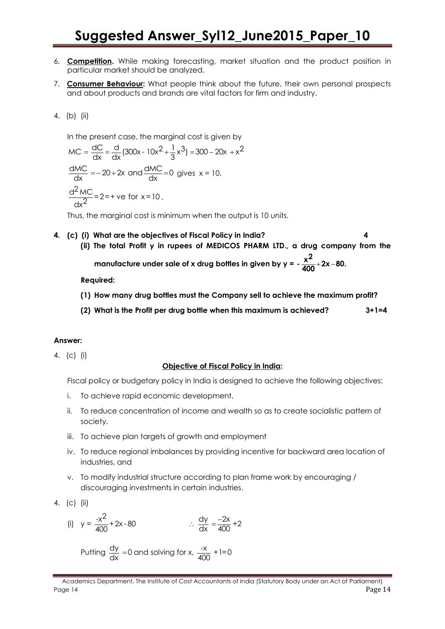- 6. **Competition.** While making forecasting, market situation and the product position in particular market should be analyzed.
- 7. **Consumer Behaviour:** What people think about the future, their own personal prospects and about products and brands are vital factors for firm and industry.

4. (b) (ii)

In the present case, the marginal cost is given by  
\n
$$
MC = \frac{dC}{dx} = \frac{d}{dx} (300x - 10x^2 + \frac{1}{3}x^3) = 300 - 20x + x^2
$$
\n
$$
\frac{dMC}{dx} = -20 + 2x \text{ and } \frac{dMC}{dx} = 0 \text{ gives } x = 10.
$$
\n
$$
\frac{d^2 MC}{dx^2} = 2 = +ve \text{ for } x = 10.
$$

Thus, the marginal cost is minimum when the output is 10 units.

- **4. (c) (i) What are the objectives of Fiscal Policy in India? 4**
	- **(ii) The total Profit y in rupees of MEDICOS PHARM LTD., a drug company from the**

manufacture under sale of x drug bottles in given by y =  $\frac{x^2}{400}$  + 2x - {  $-\frac{2}{400}+2x-80.$ 

**Required:**

- **(1) How many drug bottles must the Company sell to achieve the maximum profit?**
- **(2) What is the Profit per drug bottle when this maximum is achieved? 3+1=4**

#### **Answer:**

4. (c) (i)

#### **Objective of Fiscal Policy in India:**

Fiscal policy or budgetary policy in India is designed to achieve the following objectives:

- i. To achieve rapid economic development,
- ii. To reduce concentration of income and wealth so as to create socialistic pattern of society.
- iii. To achieve plan targets of growth and employment
- iv. To reduce regional imbalances by providing incentive for backward area location of industries, and
- v. To modify industrial structure according to plan frame work by encouraging / discouraging investments in certain industries.

4. (c) (ii)

(i) 
$$
y = \frac{-x^2}{400} + 2x - 80
$$
  $\therefore \frac{dy}{dx} = \frac{-2x}{400} + 2$ 

Putting 
$$
\frac{dy}{dx} = 0
$$
 and solving for x,  $\frac{-x}{400} + 1 = 0$ 

Academics Department, The Institute of Cost Accountants of India (Statutory Body under an Act of Parliament) Page 14 **Page 14** Page 14 **Page 14** Page 14 **Page 14** Page 14 **Page 14** Page 14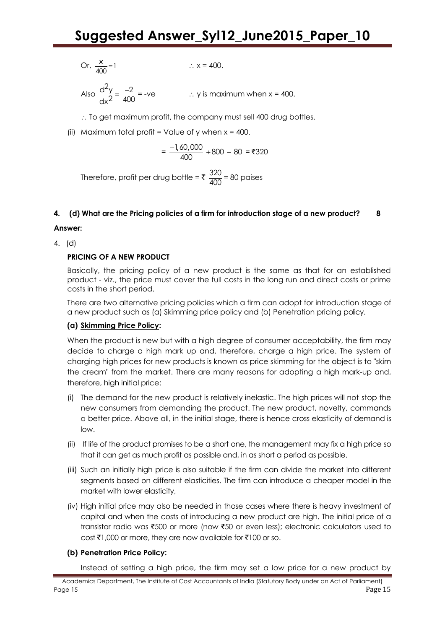Or, 
$$
\frac{x}{400} = 1
$$
 :  $x = 400$ .

Also  $\frac{d^2y}{2} = \frac{-2}{100}$  $\overline{dx^2}$  400  $\therefore$  y is maximum when  $x = 400$ .

 $\therefore$  To get maximum profit, the company must sell 400 drug bottles.

(ii) Maximum total profit = Value of y when  $x = 400$ .

$$
=\frac{-1,60,000}{400}+800-80=\text{\textyen}320
$$

Therefore, profit per drug bottle =  $\sqrt[3]{\frac{320}{100}}$  $\frac{328}{400}$  = 80 paises

## **4. (d) What are the Pricing policies of a firm for introduction stage of a new product? 8**

## **Answer:**

4. (d)

## **PRICING OF A NEW PRODUCT**

Basically, the pricing policy of a new product is the same as that for an established product - viz., the price must cover the full costs in the long run and direct costs or prime costs in the short period.

There are two alternative pricing policies which a firm can adopt for introduction stage of a new product such as (a) Skimming price policy and (b) Penetration pricing policy.

## **(a) Skimming Price Policy:**

When the product is new but with a high degree of consumer acceptability, the firm may decide to charge a high mark up and, therefore, charge a high price. The system of charging high prices for new products is known as price skimming for the object is to "skim the cream" from the market. There are many reasons for adopting a high mark-up and, therefore, high initial price:

- (i) The demand for the new product is relatively inelastic. The high prices will not stop the new consumers from demanding the product. The new product, novelty, commands a better price. Above all, in the initial stage, there is hence cross elasticity of demand is low.
- (ii) If life of the product promises to be a short one, the management may fix a high price so that it can get as much profit as possible and, in as short a period as possible.
- (iii) Such an initially high price is also suitable if the firm can divide the market into different segments based on different elasticities. The firm can introduce a cheaper model in the market with lower elasticity,
- (iv) High initial price may also be needed in those cases where there is heavy investment of capital and when the costs of introducing a new product are high. The initial price of a transistor radio was ₹500 or more (now ₹50 or even less); electronic calculators used to  $\cot$   $\bar{\tau}$ 1,000 or more, they are now available for  $\bar{\tau}$ 100 or so.

# **(b) Penetration Price Policy:**

Instead of setting a high price, the firm may set a low price for a new product by